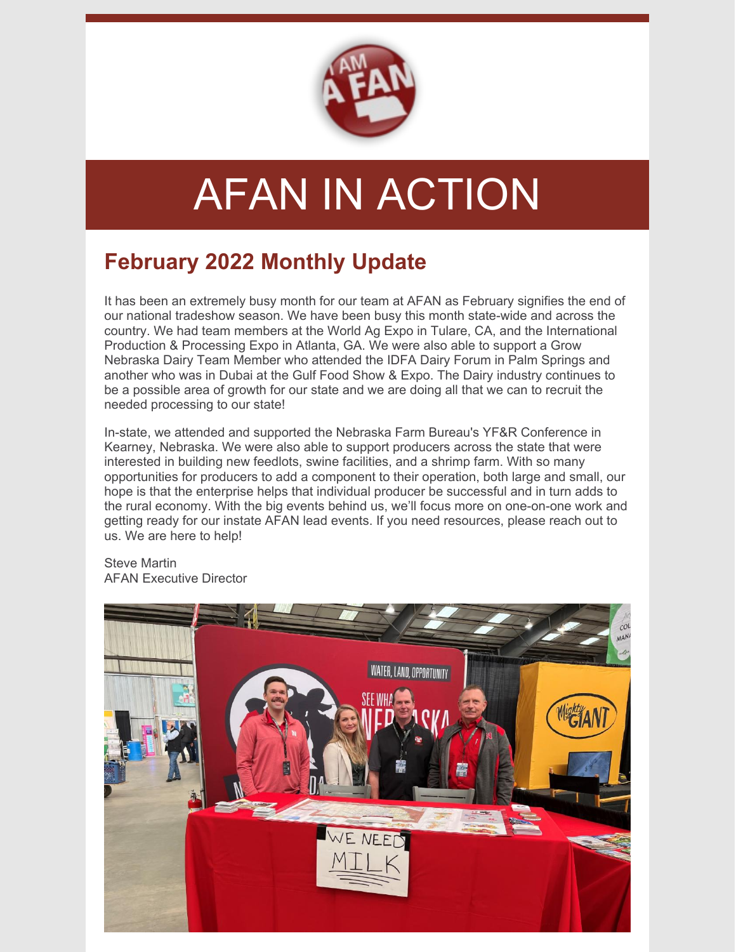

# AFAN IN ACTION

## **February 2022 Monthly Update**

It has been an extremely busy month for our team at AFAN as February signifies the end of our national tradeshow season. We have been busy this month state-wide and across the country. We had team members at the World Ag Expo in Tulare, CA, and the International Production & Processing Expo in Atlanta, GA. We were also able to support a Grow Nebraska Dairy Team Member who attended the IDFA Dairy Forum in Palm Springs and another who was in Dubai at the Gulf Food Show & Expo. The Dairy industry continues to be a possible area of growth for our state and we are doing all that we can to recruit the needed processing to our state!

In-state, we attended and supported the Nebraska Farm Bureau's YF&R Conference in Kearney, Nebraska. We were also able to support producers across the state that were interested in building new feedlots, swine facilities, and a shrimp farm. With so many opportunities for producers to add a component to their operation, both large and small, our hope is that the enterprise helps that individual producer be successful and in turn adds to the rural economy. With the big events behind us, we'll focus more on one-on-one work and getting ready for our instate AFAN lead events. If you need resources, please reach out to us. We are here to help!

Steve Martin AFAN Executive Director